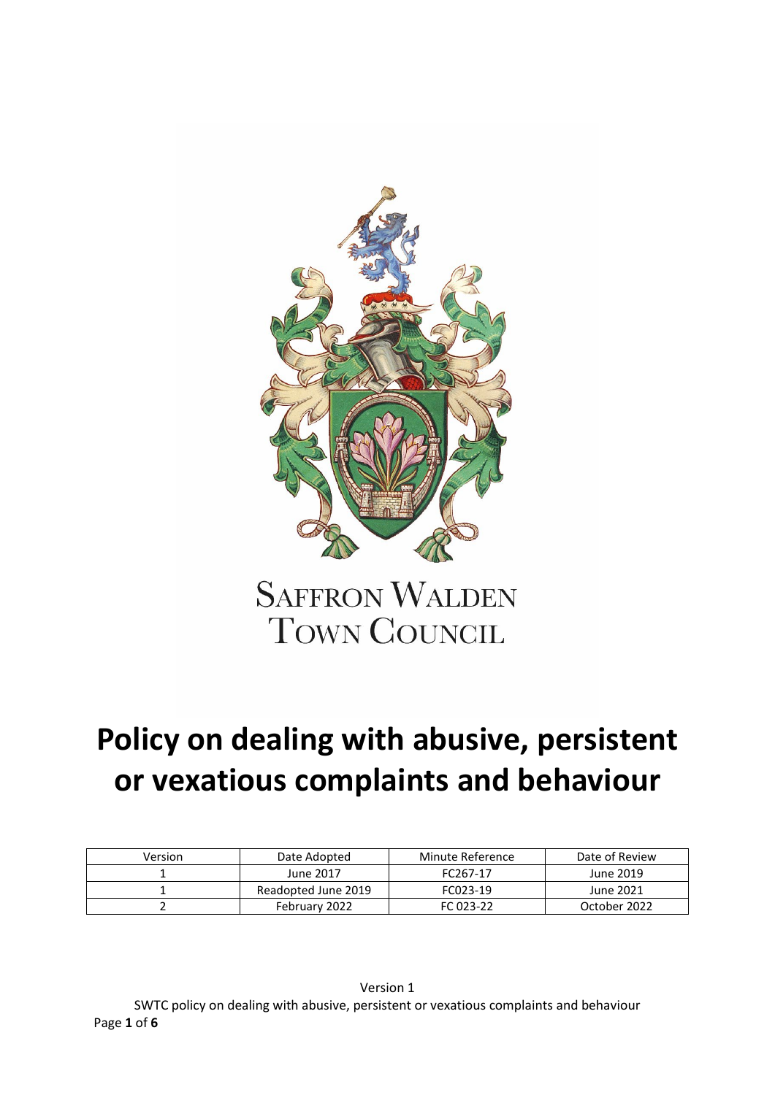

# **Policy on dealing with abusive, persistent or vexatious complaints and behaviour**

| Version | Date Adopted        | Minute Reference | Date of Review |
|---------|---------------------|------------------|----------------|
|         | June 2017           | FC267-17         | June 2019      |
|         | Readopted June 2019 | FC023-19         | June 2021      |
|         | February 2022       | FC 023-22        | October 2022   |

Version 1 SWTC policy on dealing with abusive, persistent or vexatious complaints and behaviour Page **1** of **6**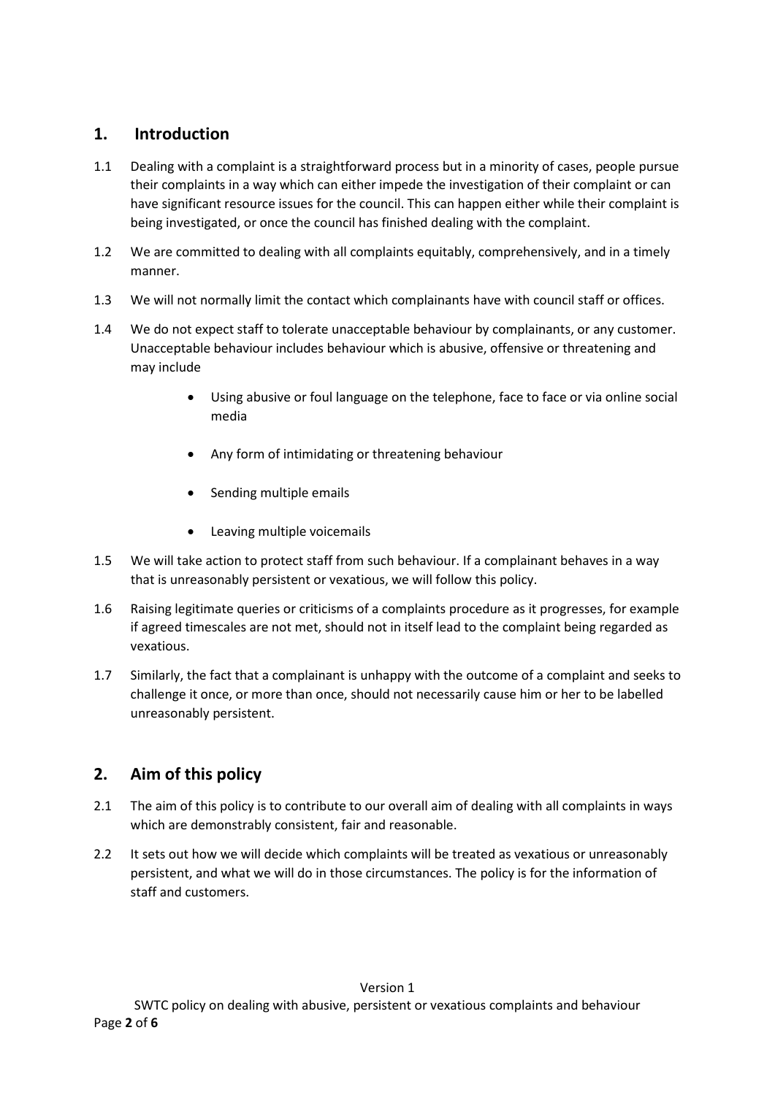## **1. Introduction**

- 1.1 Dealing with a complaint is a straightforward process but in a minority of cases, people pursue their complaints in a way which can either impede the investigation of their complaint or can have significant resource issues for the council. This can happen either while their complaint is being investigated, or once the council has finished dealing with the complaint.
- 1.2 We are committed to dealing with all complaints equitably, comprehensively, and in a timely manner.
- 1.3 We will not normally limit the contact which complainants have with council staff or offices.
- 1.4 We do not expect staff to tolerate unacceptable behaviour by complainants, or any customer. Unacceptable behaviour includes behaviour which is abusive, offensive or threatening and may include
	- Using abusive or foul language on the telephone, face to face or via online social media
	- Any form of intimidating or threatening behaviour
	- Sending multiple emails
	- Leaving multiple voicemails
- 1.5 We will take action to protect staff from such behaviour. If a complainant behaves in a way that is unreasonably persistent or vexatious, we will follow this policy.
- 1.6 Raising legitimate queries or criticisms of a complaints procedure as it progresses, for example if agreed timescales are not met, should not in itself lead to the complaint being regarded as vexatious.
- 1.7 Similarly, the fact that a complainant is unhappy with the outcome of a complaint and seeks to challenge it once, or more than once, should not necessarily cause him or her to be labelled unreasonably persistent.

## **2. Aim of this policy**

- 2.1 The aim of this policy is to contribute to our overall aim of dealing with all complaints in ways which are demonstrably consistent, fair and reasonable.
- 2.2 It sets out how we will decide which complaints will be treated as vexatious or unreasonably persistent, and what we will do in those circumstances. The policy is for the information of staff and customers.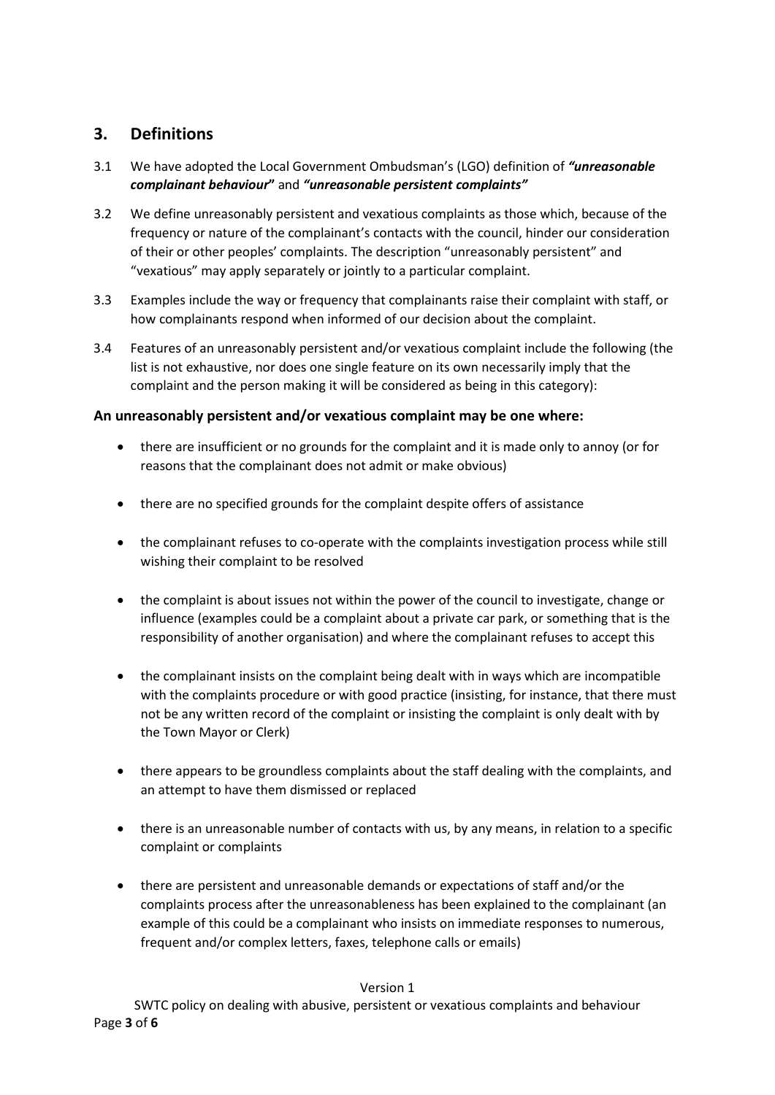## **3. Definitions**

- 3.1 We have adopted the Local Government Ombudsman's (LGO) definition of *"unreasonable complainant behaviour***"** and *"unreasonable persistent complaints"*
- 3.2 We define unreasonably persistent and vexatious complaints as those which, because of the frequency or nature of the complainant's contacts with the council, hinder our consideration of their or other peoples' complaints. The description "unreasonably persistent" and "vexatious" may apply separately or jointly to a particular complaint.
- 3.3 Examples include the way or frequency that complainants raise their complaint with staff, or how complainants respond when informed of our decision about the complaint.
- 3.4 Features of an unreasonably persistent and/or vexatious complaint include the following (the list is not exhaustive, nor does one single feature on its own necessarily imply that the complaint and the person making it will be considered as being in this category):

## **An unreasonably persistent and/or vexatious complaint may be one where:**

- there are insufficient or no grounds for the complaint and it is made only to annoy (or for reasons that the complainant does not admit or make obvious)
- there are no specified grounds for the complaint despite offers of assistance
- the complainant refuses to co-operate with the complaints investigation process while still wishing their complaint to be resolved
- the complaint is about issues not within the power of the council to investigate, change or influence (examples could be a complaint about a private car park, or something that is the responsibility of another organisation) and where the complainant refuses to accept this
- the complainant insists on the complaint being dealt with in ways which are incompatible with the complaints procedure or with good practice (insisting, for instance, that there must not be any written record of the complaint or insisting the complaint is only dealt with by the Town Mayor or Clerk)
- there appears to be groundless complaints about the staff dealing with the complaints, and an attempt to have them dismissed or replaced
- there is an unreasonable number of contacts with us, by any means, in relation to a specific complaint or complaints
- there are persistent and unreasonable demands or expectations of staff and/or the complaints process after the unreasonableness has been explained to the complainant (an example of this could be a complainant who insists on immediate responses to numerous, frequent and/or complex letters, faxes, telephone calls or emails)

### Version 1

SWTC policy on dealing with abusive, persistent or vexatious complaints and behaviour Page **3** of **6**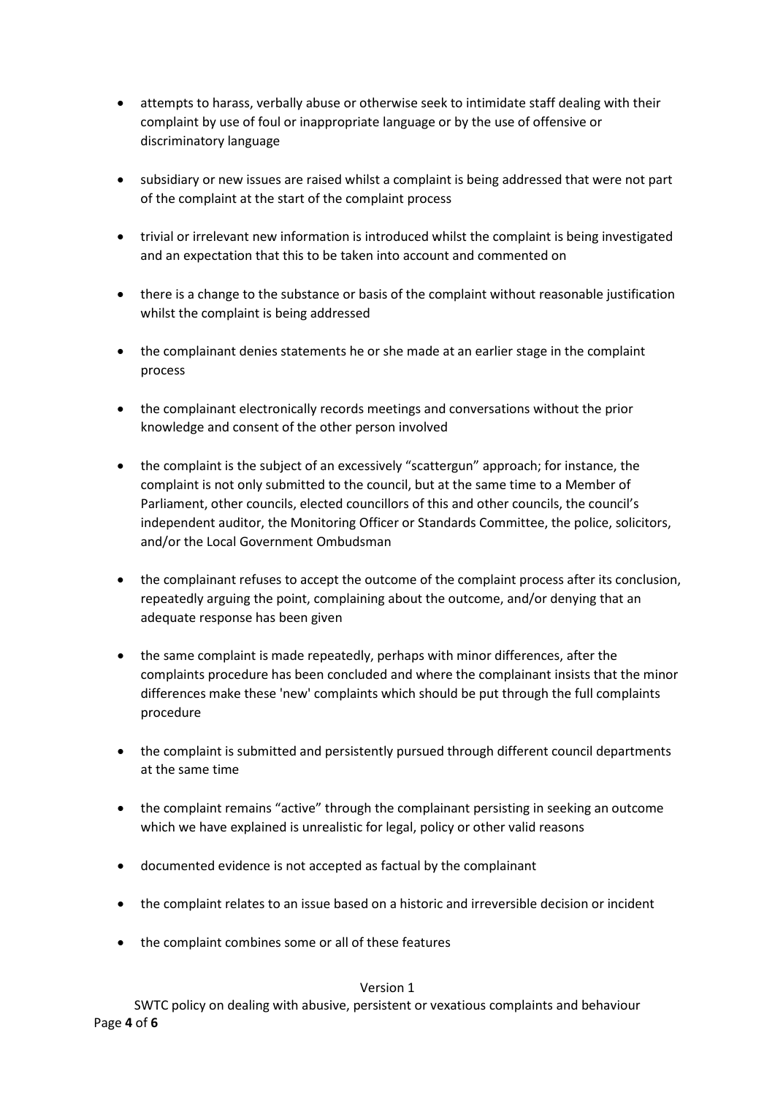- attempts to harass, verbally abuse or otherwise seek to intimidate staff dealing with their complaint by use of foul or inappropriate language or by the use of offensive or discriminatory language
- subsidiary or new issues are raised whilst a complaint is being addressed that were not part of the complaint at the start of the complaint process
- trivial or irrelevant new information is introduced whilst the complaint is being investigated and an expectation that this to be taken into account and commented on
- there is a change to the substance or basis of the complaint without reasonable justification whilst the complaint is being addressed
- the complainant denies statements he or she made at an earlier stage in the complaint process
- the complainant electronically records meetings and conversations without the prior knowledge and consent of the other person involved
- the complaint is the subject of an excessively "scattergun" approach; for instance, the complaint is not only submitted to the council, but at the same time to a Member of Parliament, other councils, elected councillors of this and other councils, the council's independent auditor, the Monitoring Officer or Standards Committee, the police, solicitors, and/or the Local Government Ombudsman
- the complainant refuses to accept the outcome of the complaint process after its conclusion, repeatedly arguing the point, complaining about the outcome, and/or denying that an adequate response has been given
- the same complaint is made repeatedly, perhaps with minor differences, after the complaints procedure has been concluded and where the complainant insists that the minor differences make these 'new' complaints which should be put through the full complaints procedure
- the complaint is submitted and persistently pursued through different council departments at the same time
- the complaint remains "active" through the complainant persisting in seeking an outcome which we have explained is unrealistic for legal, policy or other valid reasons
- documented evidence is not accepted as factual by the complainant
- the complaint relates to an issue based on a historic and irreversible decision or incident
- the complaint combines some or all of these features

#### Version 1

SWTC policy on dealing with abusive, persistent or vexatious complaints and behaviour Page **4** of **6**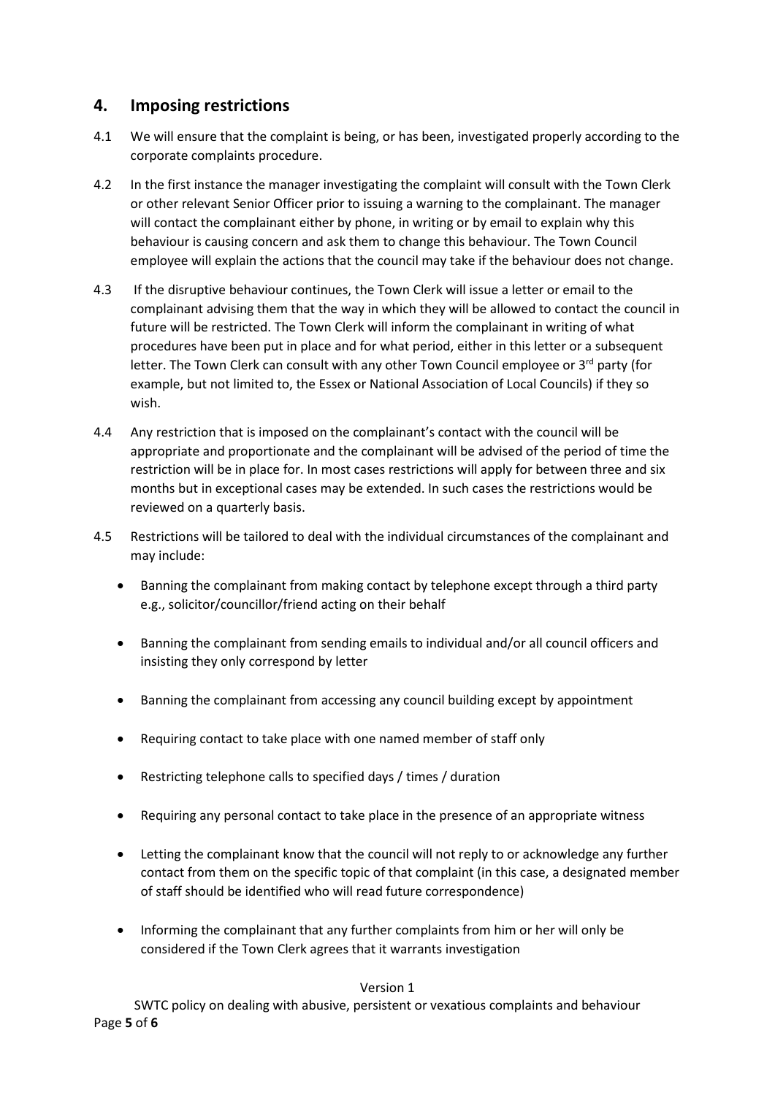## **4. Imposing restrictions**

- 4.1 We will ensure that the complaint is being, or has been, investigated properly according to the corporate complaints procedure.
- 4.2 In the first instance the manager investigating the complaint will consult with the Town Clerk or other relevant Senior Officer prior to issuing a warning to the complainant. The manager will contact the complainant either by phone, in writing or by email to explain why this behaviour is causing concern and ask them to change this behaviour. The Town Council employee will explain the actions that the council may take if the behaviour does not change.
- 4.3 If the disruptive behaviour continues, the Town Clerk will issue a letter or email to the complainant advising them that the way in which they will be allowed to contact the council in future will be restricted. The Town Clerk will inform the complainant in writing of what procedures have been put in place and for what period, either in this letter or a subsequent letter. The Town Clerk can consult with any other Town Council employee or  $3^{rd}$  party (for example, but not limited to, the Essex or National Association of Local Councils) if they so wish.
- 4.4 Any restriction that is imposed on the complainant's contact with the council will be appropriate and proportionate and the complainant will be advised of the period of time the restriction will be in place for. In most cases restrictions will apply for between three and six months but in exceptional cases may be extended. In such cases the restrictions would be reviewed on a quarterly basis.
- 4.5 Restrictions will be tailored to deal with the individual circumstances of the complainant and may include:
	- Banning the complainant from making contact by telephone except through a third party e.g., solicitor/councillor/friend acting on their behalf
	- Banning the complainant from sending emails to individual and/or all council officers and insisting they only correspond by letter
	- Banning the complainant from accessing any council building except by appointment
	- Requiring contact to take place with one named member of staff only
	- Restricting telephone calls to specified days / times / duration
	- Requiring any personal contact to take place in the presence of an appropriate witness
	- Letting the complainant know that the council will not reply to or acknowledge any further contact from them on the specific topic of that complaint (in this case, a designated member of staff should be identified who will read future correspondence)
	- Informing the complainant that any further complaints from him or her will only be considered if the Town Clerk agrees that it warrants investigation

#### Version 1

SWTC policy on dealing with abusive, persistent or vexatious complaints and behaviour Page **5** of **6**